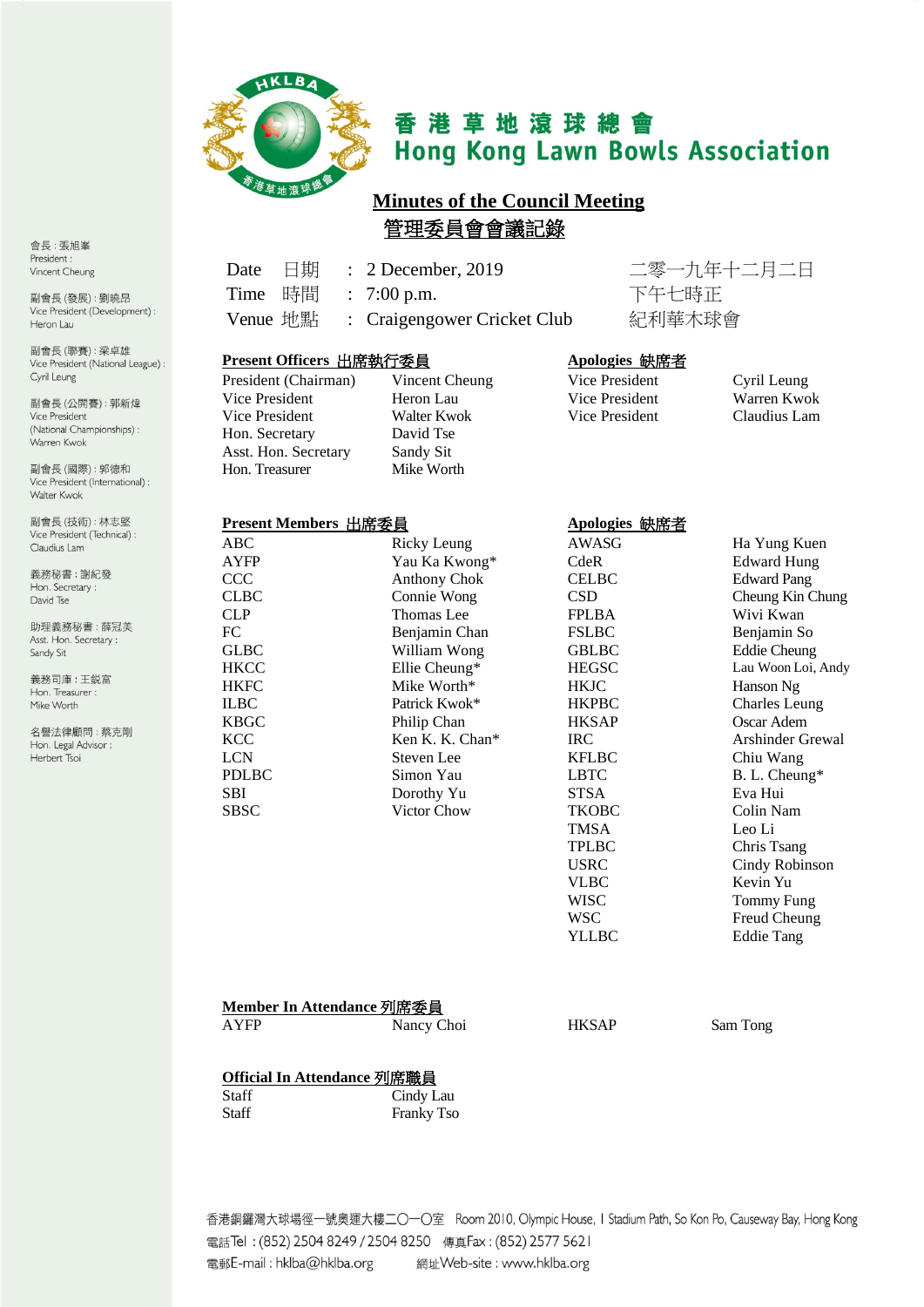

# 香港草地滾球總會 **Hong Kong Lawn Bowls Association**

# **Minutes of the Council Meeting** 管理委員會會議記錄

Time 時間 : 7:00 p.m. 下午七時正 Venue 地點 : Craigengower Cricket Club 紀利華木球會

Date 日期 : 2 December, 2019 二零一九年十二月二日

#### **Present Officers** 出席執行委員 **Apologies** 缺席者

| President (Chairman) | Vincent Che |
|----------------------|-------------|
| Vice President       | Heron Lau   |
| Vice President       | Walter Kwo  |
| Hon. Secretary       | David Tse   |
| Asst. Hon. Secretary | Sandy Sit   |
| Hon. Treasurer       | Mike Worth  |

incent Cheung Vice President Cyril Leung<br>
President Cyril Leung Vice President Warren Kwo Vice President

Vice President Heron Lau Vice President Warren Kwok

### **Present Members** 出席委員 **Apologies** 缺席者

| ABC          | Ricky Leung      | <b>AWASG</b> | Ha Yung K         |
|--------------|------------------|--------------|-------------------|
| <b>AYFP</b>  | Yau Ka Kwong*    | CdeR         | Edward Hu         |
| CCC          | Anthony Chok     | <b>CELBC</b> | <b>Edward Pan</b> |
| <b>CLBC</b>  | Connie Wong      | <b>CSD</b>   | Cheung Kin        |
| <b>CLP</b>   | Thomas Lee       | <b>FPLBA</b> | Wivi Kwan         |
| FC           | Benjamin Chan    | <b>FSLBC</b> | Benjamin S        |
| <b>GLBC</b>  | William Wong     | <b>GBLBC</b> | <b>Eddie Cheu</b> |
| <b>HKCC</b>  | Ellie Cheung $*$ | <b>HEGSC</b> | Lau Woon L        |
| <b>HKFC</b>  | Mike Worth*      | <b>HKJC</b>  | Hanson Ng         |
| <b>ILBC</b>  | Patrick Kwok*    | <b>HKPBC</b> | Charles Let       |
| <b>KBGC</b>  | Philip Chan      | <b>HKSAP</b> | Oscar Aden        |
| <b>KCC</b>   | Ken K. K. Chan*  | IRC          | Arshinder (       |
| <b>LCN</b>   | Steven Lee       | <b>KFLBC</b> | Chiu Wang         |
| <b>PDLBC</b> | Simon Yau        | <b>LBTC</b>  | B. L. Cheu        |
| <b>SBI</b>   | Dorothy Yu       | <b>STSA</b>  | Eva Hui           |
| <b>SBSC</b>  | Victor Chow      | <b>TKOBC</b> | Colin Nam         |
|              |                  | <b>TMSA</b>  | Leo Li            |

Leung AWASG Ha Yung Kuen  $\text{A}$  Kwong\* CdeR Edward Hung ny Chok CELBC Edward Pang e Wong CSD CSD Cheung Kin Chung as Lee FPLBA Wivi Kwan min Chan FSLBC Benjamin So m Wong GBLBC Eddie Cheung<br>
Cheung\* HEGSC Lau Woon Loi, HKCC Ellie Cheung\* HEGSC Lau Woon Loi, Andy Worth\* HKJC Hanson Ng<br>
k Kwok\* HKPBC Charles Le Charles Leung Chan HKSAP Oscar Adem<br>
IRC Arshinder G. K. Chan\* IRC IRC Arshinder Grewal PDLBC Simon Yau LBTC B. L. Cheung\* TMSA Leo Li<br>TPLBC Chris T Chris Tsang USRC Cindy Robinson VLBC Kevin Yu WISC Tommy Fung WSC Freud Cheung YLLBC Eddie Tang

#### **Member In Attendance** 列席委員

AYFP Nancy Choi HKSAP Sam Tong

### **Official In Attendance** 列席職員

| Staff | Cindy Lau         |
|-------|-------------------|
| Staff | <b>Franky Tso</b> |

香港銅鑼灣大球場徑一號奧運大樓二〇一〇室 Room 2010, Olympic House, I Stadium Path, So Kon Po, Causeway Bay, Hong Kong 電話Tel: (852) 2504 8249 / 2504 8250 傳真Fax: (852) 2577 5621 電郵E-mail: hklba@hklba.org 網址Web-site: www.hklba.org

會長:張旭峯 President: Vincent Cheung

副會長(發展):劉曉昂 Vice President (Development) : Heron Lau

副會長(聯賽):梁卓雄 Vice President (National League) : Cyril Leung

副會長(公開賽): 郭新煒 Vice President (National Championships): Warren Kwok

副會長(國際): 郭德和 Vice President (International) : Walter Kwok

副會長(技術):林志堅 Vice President (Technical) : Claudius Lam

義務秘書:謝紀發 Hon. Secretary: David Tse

助理義務秘書:薛冠美 Asst. Hon. Secretary : Sandy Sit

義務司庫:王鋭富 Hon. Treasurer : Mike Worth

名譽法律顧問:蔡克剛 Hon. Legal Advisor : Herbert Tsoi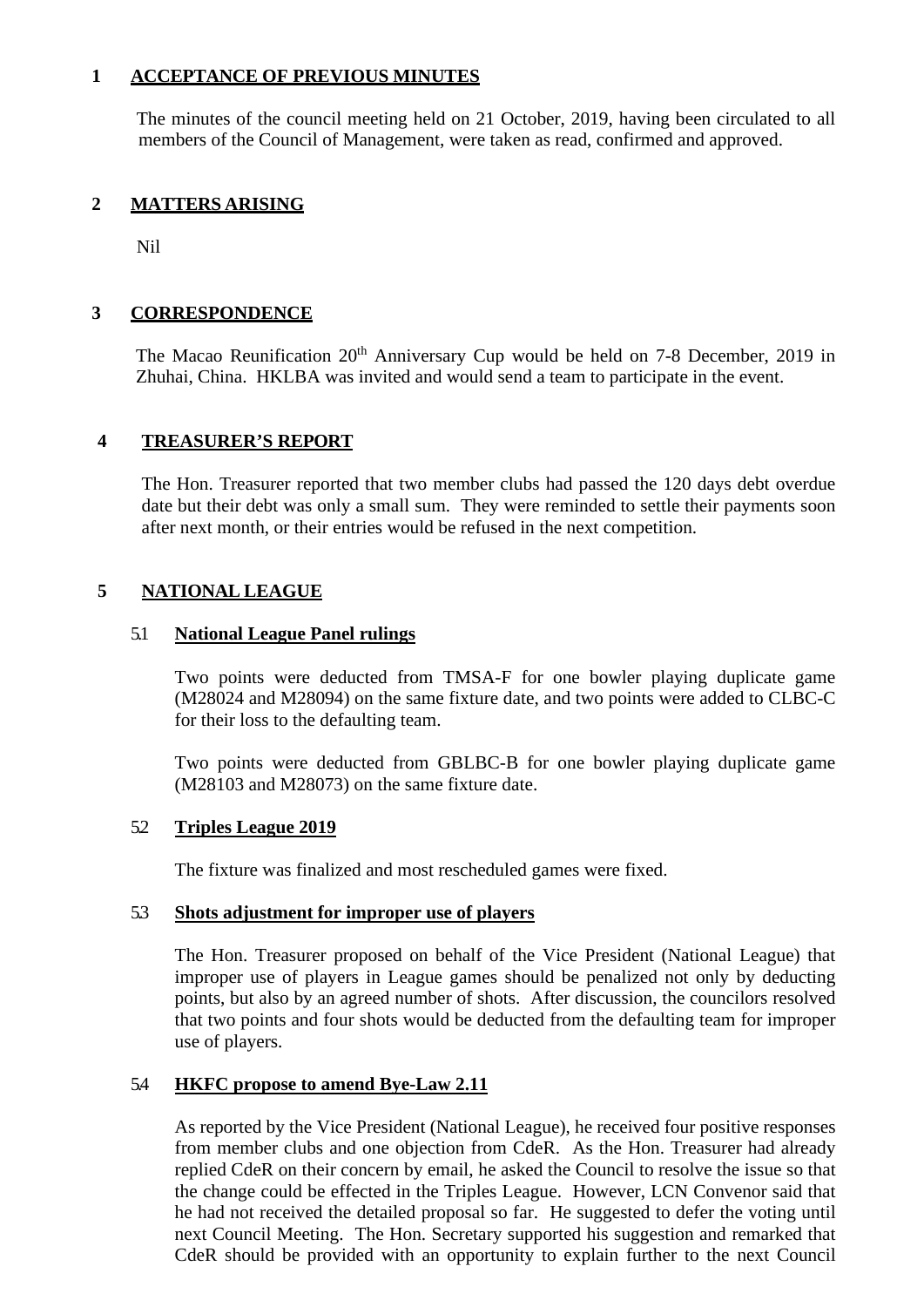# **1 ACCEPTANCE OF PREVIOUS MINUTES**

The minutes of the council meeting held on 21 October, 2019, having been circulated to all members of the Council of Management, were taken as read, confirmed and approved.

# **2 MATTERS ARISING**

Nil

# **3 CORRESPONDENCE**

The Macao Reunification 20<sup>th</sup> Anniversary Cup would be held on 7-8 December, 2019 in Zhuhai, China. HKLBA was invited and would send a team to participate in the event.

# **4 TREASURER'S REPORT**

The Hon. Treasurer reported that two member clubs had passed the 120 days debt overdue date but their debt was only a small sum. They were reminded to settle their payments soon after next month, or their entries would be refused in the next competition.

# **5 NATIONAL LEAGUE**

# 5.1 **National League Panel rulings**

Two points were deducted from TMSA-F for one bowler playing duplicate game (M28024 and M28094) on the same fixture date, and two points were added to CLBC-C for their loss to the defaulting team.

Two points were deducted from GBLBC-B for one bowler playing duplicate game (M28103 and M28073) on the same fixture date.

# 5.2 **Triples League 2019**

The fixture was finalized and most rescheduled games were fixed.

### 5.3 **Shots adjustment for improper use of players**

The Hon. Treasurer proposed on behalf of the Vice President (National League) that improper use of players in League games should be penalized not only by deducting points, but also by an agreed number of shots. After discussion, the councilors resolved that two points and four shots would be deducted from the defaulting team for improper use of players.

# 5.4 **HKFC propose to amend Bye-Law 2.11**

As reported by the Vice President (National League), he received four positive responses from member clubs and one objection from CdeR. As the Hon. Treasurer had already replied CdeR on their concern by email, he asked the Council to resolve the issue so that the change could be effected in the Triples League. However, LCN Convenor said that he had not received the detailed proposal so far. He suggested to defer the voting until next Council Meeting. The Hon. Secretary supported his suggestion and remarked that CdeR should be provided with an opportunity to explain further to the next Council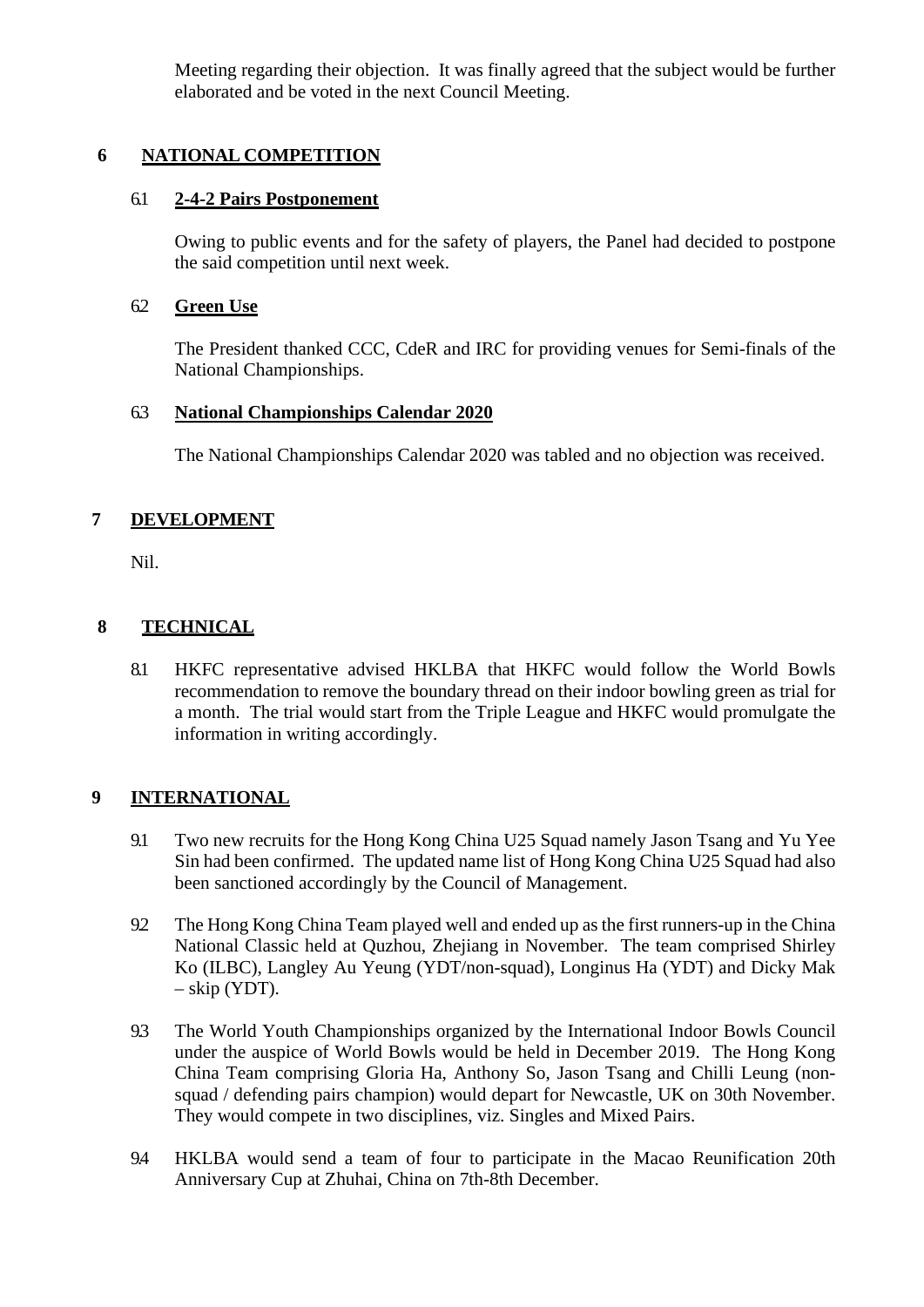Meeting regarding their objection. It was finally agreed that the subject would be further elaborated and be voted in the next Council Meeting.

# **6 NATIONAL COMPETITION**

# 6.1 **2-4-2 Pairs Postponement**

Owing to public events and for the safety of players, the Panel had decided to postpone the said competition until next week.

# 6.2 **Green Use**

The President thanked CCC, CdeR and IRC for providing venues for Semi-finals of the National Championships.

# 6.3 **National Championships Calendar 2020**

The National Championships Calendar 2020 was tabled and no objection was received.

# **7 DEVELOPMENT**

Nil.

# **8 TECHNICAL**

8.1 HKFC representative advised HKLBA that HKFC would follow the World Bowls recommendation to remove the boundary thread on their indoor bowling green as trial for a month. The trial would start from the Triple League and HKFC would promulgate the information in writing accordingly.

# **9 INTERNATIONAL**

- 9.1 Two new recruits for the Hong Kong China U25 Squad namely Jason Tsang and Yu Yee Sin had been confirmed. The updated name list of Hong Kong China U25 Squad had also been sanctioned accordingly by the Council of Management.
- 9.2 The Hong Kong China Team played well and ended up as the first runners-up in the China National Classic held at Quzhou, Zhejiang in November. The team comprised Shirley Ko (ILBC), Langley Au Yeung (YDT/non-squad), Longinus Ha (YDT) and Dicky Mak – skip (YDT).
- 9.3 The World Youth Championships organized by the International Indoor Bowls Council under the auspice of World Bowls would be held in December 2019. The Hong Kong China Team comprising Gloria Ha, Anthony So, Jason Tsang and Chilli Leung (nonsquad / defending pairs champion) would depart for Newcastle, UK on 30th November. They would compete in two disciplines, viz. Singles and Mixed Pairs.
- 9.4 HKLBA would send a team of four to participate in the Macao Reunification 20th Anniversary Cup at Zhuhai, China on 7th-8th December.